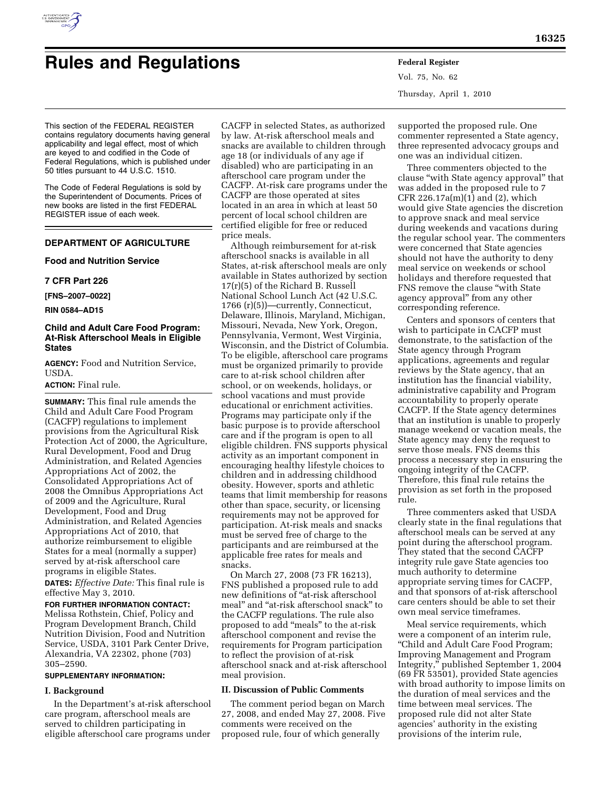

# **Rules and Regulations Federal Register**

Vol. 75, No. 62 Thursday, April 1, 2010

This section of the FEDERAL REGISTER contains regulatory documents having general applicability and legal effect, most of which are keyed to and codified in the Code of Federal Regulations, which is published under 50 titles pursuant to 44 U.S.C. 1510.

The Code of Federal Regulations is sold by the Superintendent of Documents. Prices of new books are listed in the first FEDERAL REGISTER issue of each week.

# **DEPARTMENT OF AGRICULTURE**

#### **Food and Nutrition Service**

#### **7 CFR Part 226**

**[FNS–2007–0022]** 

**RIN 0584–AD15** 

## **Child and Adult Care Food Program: At-Risk Afterschool Meals in Eligible States**

**AGENCY:** Food and Nutrition Service, USDA.

## **ACTION:** Final rule.

**SUMMARY:** This final rule amends the Child and Adult Care Food Program (CACFP) regulations to implement provisions from the Agricultural Risk Protection Act of 2000, the Agriculture, Rural Development, Food and Drug Administration, and Related Agencies Appropriations Act of 2002, the Consolidated Appropriations Act of 2008 the Omnibus Appropriations Act of 2009 and the Agriculture, Rural Development, Food and Drug Administration, and Related Agencies Appropriations Act of 2010, that authorize reimbursement to eligible States for a meal (normally a supper) served by at-risk afterschool care programs in eligible States.

**DATES:** *Effective Date:* This final rule is effective May 3, 2010.

#### **FOR FURTHER INFORMATION CONTACT:**

Melissa Rothstein, Chief, Policy and Program Development Branch, Child Nutrition Division, Food and Nutrition Service, USDA, 3101 Park Center Drive, Alexandria, VA 22302, phone (703) 305–2590.

#### **SUPPLEMENTARY INFORMATION:**

#### **I. Background**

In the Department's at-risk afterschool care program, afterschool meals are served to children participating in eligible afterschool care programs under

CACFP in selected States, as authorized by law. At-risk afterschool meals and snacks are available to children through age 18 (or individuals of any age if disabled) who are participating in an afterschool care program under the CACFP. At-risk care programs under the CACFP are those operated at sites located in an area in which at least 50 percent of local school children are certified eligible for free or reduced price meals.

Although reimbursement for at-risk afterschool snacks is available in all States, at-risk afterschool meals are only available in States authorized by section 17(r)(5) of the Richard B. Russell National School Lunch Act (42 U.S.C. 1766 (r)(5))—currently, Connecticut, Delaware, Illinois, Maryland, Michigan, Missouri, Nevada, New York, Oregon, Pennsylvania, Vermont, West Virginia, Wisconsin, and the District of Columbia. To be eligible, afterschool care programs must be organized primarily to provide care to at-risk school children after school, or on weekends, holidays, or school vacations and must provide educational or enrichment activities. Programs may participate only if the basic purpose is to provide afterschool care and if the program is open to all eligible children. FNS supports physical activity as an important component in encouraging healthy lifestyle choices to children and in addressing childhood obesity. However, sports and athletic teams that limit membership for reasons other than space, security, or licensing requirements may not be approved for participation. At-risk meals and snacks must be served free of charge to the participants and are reimbursed at the applicable free rates for meals and snacks.

On March 27, 2008 (73 FR 16213), FNS published a proposed rule to add new definitions of ''at-risk afterschool meal'' and ''at-risk afterschool snack'' to the CACFP regulations. The rule also proposed to add ''meals'' to the at-risk afterschool component and revise the requirements for Program participation to reflect the provision of at-risk afterschool snack and at-risk afterschool meal provision.

#### **II. Discussion of Public Comments**

The comment period began on March 27, 2008, and ended May 27, 2008. Five comments were received on the proposed rule, four of which generally

supported the proposed rule. One commenter represented a State agency, three represented advocacy groups and one was an individual citizen.

Three commenters objected to the clause ''with State agency approval'' that was added in the proposed rule to 7 CFR 226.17a(m)(1) and (2), which would give State agencies the discretion to approve snack and meal service during weekends and vacations during the regular school year. The commenters were concerned that State agencies should not have the authority to deny meal service on weekends or school holidays and therefore requested that FNS remove the clause "with State agency approval'' from any other corresponding reference.

Centers and sponsors of centers that wish to participate in CACFP must demonstrate, to the satisfaction of the State agency through Program applications, agreements and regular reviews by the State agency, that an institution has the financial viability, administrative capability and Program accountability to properly operate CACFP. If the State agency determines that an institution is unable to properly manage weekend or vacation meals, the State agency may deny the request to serve those meals. FNS deems this process a necessary step in ensuring the ongoing integrity of the CACFP. Therefore, this final rule retains the provision as set forth in the proposed rule.

Three commenters asked that USDA clearly state in the final regulations that afterschool meals can be served at any point during the afterschool program. They stated that the second CACFP integrity rule gave State agencies too much authority to determine appropriate serving times for CACFP, and that sponsors of at-risk afterschool care centers should be able to set their own meal service timeframes.

Meal service requirements, which were a component of an interim rule, ''Child and Adult Care Food Program; Improving Management and Program Integrity,'' published September 1, 2004 (69 FR 53501), provided State agencies with broad authority to impose limits on the duration of meal services and the time between meal services. The proposed rule did not alter State agencies' authority in the existing provisions of the interim rule,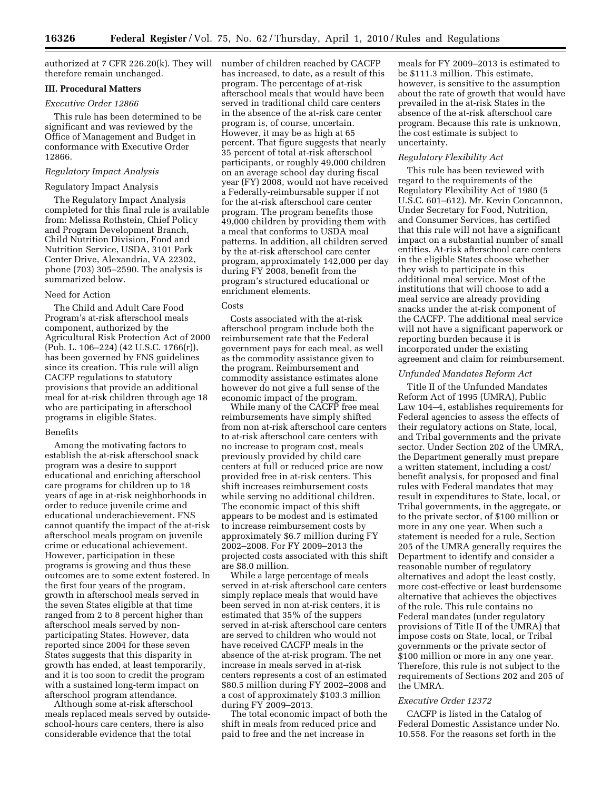authorized at 7 CFR 226.20(k). They will therefore remain unchanged.

#### **III. Procedural Matters**

#### *Executive Order 12866*

This rule has been determined to be significant and was reviewed by the Office of Management and Budget in conformance with Executive Order 12866.

# *Regulatory Impact Analysis*

## Regulatory Impact Analysis

The Regulatory Impact Analysis completed for this final rule is available from: Melissa Rothstein, Chief Policy and Program Development Branch, Child Nutrition Division, Food and Nutrition Service, USDA, 3101 Park Center Drive, Alexandria, VA 22302, phone (703) 305–2590. The analysis is summarized below.

#### Need for Action

The Child and Adult Care Food Program's at-risk afterschool meals component, authorized by the Agricultural Risk Protection Act of 2000 (Pub. L. 106–224) (42 U.S.C. 1766(r)), has been governed by FNS guidelines since its creation. This rule will align CACFP regulations to statutory provisions that provide an additional meal for at-risk children through age 18 who are participating in afterschool programs in eligible States.

#### Benefits

Among the motivating factors to establish the at-risk afterschool snack program was a desire to support educational and enriching afterschool care programs for children up to 18 years of age in at-risk neighborhoods in order to reduce juvenile crime and educational underachievement. FNS cannot quantify the impact of the at-risk afterschool meals program on juvenile crime or educational achievement. However, participation in these programs is growing and thus these outcomes are to some extent fostered. In the first four years of the program, growth in afterschool meals served in the seven States eligible at that time ranged from 2 to 8 percent higher than afterschool meals served by nonparticipating States. However, data reported since 2004 for these seven States suggests that this disparity in growth has ended, at least temporarily, and it is too soon to credit the program with a sustained long-term impact on afterschool program attendance.

Although some at-risk afterschool meals replaced meals served by outsideschool-hours care centers, there is also considerable evidence that the total

number of children reached by CACFP has increased, to date, as a result of this program. The percentage of at-risk afterschool meals that would have been served in traditional child care centers in the absence of the at-risk care center program is, of course, uncertain. However, it may be as high at 65 percent. That figure suggests that nearly 35 percent of total at-risk afterschool participants, or roughly 49,000 children on an average school day during fiscal year (FY) 2008, would not have received a Federally-reimbursable supper if not for the at-risk afterschool care center program. The program benefits those 49,000 children by providing them with a meal that conforms to USDA meal patterns. In addition, all children served by the at-risk afterschool care center program, approximately 142,000 per day during FY 2008, benefit from the program's structured educational or enrichment elements.

#### Costs

Costs associated with the at-risk afterschool program include both the reimbursement rate that the Federal government pays for each meal, as well as the commodity assistance given to the program. Reimbursement and commodity assistance estimates alone however do not give a full sense of the economic impact of the program.

While many of the CACFP free meal reimbursements have simply shifted from non at-risk afterschool care centers to at-risk afterschool care centers with no increase to program cost, meals previously provided by child care centers at full or reduced price are now provided free in at-risk centers. This shift increases reimbursement costs while serving no additional children. The economic impact of this shift appears to be modest and is estimated to increase reimbursement costs by approximately \$6.7 million during FY 2002–2008. For FY 2009–2013 the projected costs associated with this shift are \$8.0 million.

While a large percentage of meals served in at-risk afterschool care centers simply replace meals that would have been served in non at-risk centers, it is estimated that 35% of the suppers served in at-risk afterschool care centers are served to children who would not have received CACFP meals in the absence of the at-risk program. The net increase in meals served in at-risk centers represents a cost of an estimated \$80.5 million during FY 2002–2008 and a cost of approximately \$103.3 million during FY 2009–2013.

The total economic impact of both the shift in meals from reduced price and paid to free and the net increase in

meals for FY 2009–2013 is estimated to be \$111.3 million. This estimate, however, is sensitive to the assumption about the rate of growth that would have prevailed in the at-risk States in the absence of the at-risk afterschool care program. Because this rate is unknown, the cost estimate is subject to uncertainty.

#### *Regulatory Flexibility Act*

This rule has been reviewed with regard to the requirements of the Regulatory Flexibility Act of 1980 (5 U.S.C. 601–612). Mr. Kevin Concannon, Under Secretary for Food, Nutrition, and Consumer Services, has certified that this rule will not have a significant impact on a substantial number of small entities. At-risk afterschool care centers in the eligible States choose whether they wish to participate in this additional meal service. Most of the institutions that will choose to add a meal service are already providing snacks under the at-risk component of the CACFP. The additional meal service will not have a significant paperwork or reporting burden because it is incorporated under the existing agreement and claim for reimbursement.

#### *Unfunded Mandates Reform Act*

Title II of the Unfunded Mandates Reform Act of 1995 (UMRA), Public Law 104–4, establishes requirements for Federal agencies to assess the effects of their regulatory actions on State, local, and Tribal governments and the private sector. Under Section 202 of the UMRA, the Department generally must prepare a written statement, including a cost/ benefit analysis, for proposed and final rules with Federal mandates that may result in expenditures to State, local, or Tribal governments, in the aggregate, or to the private sector, of \$100 million or more in any one year. When such a statement is needed for a rule, Section 205 of the UMRA generally requires the Department to identify and consider a reasonable number of regulatory alternatives and adopt the least costly, more cost-effective or least burdensome alternative that achieves the objectives of the rule. This rule contains no Federal mandates (under regulatory provisions of Title II of the UMRA) that impose costs on State, local, or Tribal governments or the private sector of \$100 million or more in any one year. Therefore, this rule is not subject to the requirements of Sections 202 and 205 of the UMRA.

#### *Executive Order 12372*

CACFP is listed in the Catalog of Federal Domestic Assistance under No. 10.558. For the reasons set forth in the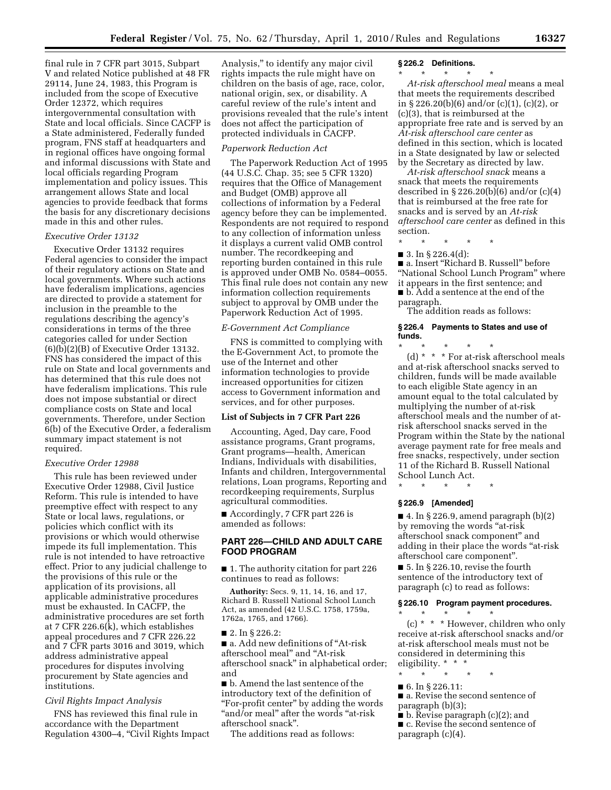final rule in 7 CFR part 3015, Subpart V and related Notice published at 48 FR 29114, June 24, 1983, this Program is included from the scope of Executive Order 12372, which requires intergovernmental consultation with State and local officials. Since CACFP is a State administered, Federally funded program, FNS staff at headquarters and in regional offices have ongoing formal and informal discussions with State and local officials regarding Program implementation and policy issues. This arrangement allows State and local agencies to provide feedback that forms the basis for any discretionary decisions made in this and other rules.

#### *Executive Order 13132*

Executive Order 13132 requires Federal agencies to consider the impact of their regulatory actions on State and local governments. Where such actions have federalism implications, agencies are directed to provide a statement for inclusion in the preamble to the regulations describing the agency's considerations in terms of the three categories called for under Section (6)(b)(2)(B) of Executive Order 13132. FNS has considered the impact of this rule on State and local governments and has determined that this rule does not have federalism implications. This rule does not impose substantial or direct compliance costs on State and local governments. Therefore, under Section 6(b) of the Executive Order, a federalism summary impact statement is not required.

#### *Executive Order 12988*

This rule has been reviewed under Executive Order 12988, Civil Justice Reform. This rule is intended to have preemptive effect with respect to any State or local laws, regulations, or policies which conflict with its provisions or which would otherwise impede its full implementation. This rule is not intended to have retroactive effect. Prior to any judicial challenge to the provisions of this rule or the application of its provisions, all applicable administrative procedures must be exhausted. In CACFP, the administrative procedures are set forth at 7 CFR 226.6(k), which establishes appeal procedures and 7 CFR 226.22 and 7 CFR parts 3016 and 3019, which address administrative appeal procedures for disputes involving procurement by State agencies and institutions.

#### *Civil Rights Impact Analysis*

FNS has reviewed this final rule in accordance with the Department Regulation 4300–4, ''Civil Rights Impact

Analysis,'' to identify any major civil rights impacts the rule might have on children on the basis of age, race, color, national origin, sex, or disability. A careful review of the rule's intent and provisions revealed that the rule's intent does not affect the participation of protected individuals in CACFP.

#### *Paperwork Reduction Act*

The Paperwork Reduction Act of 1995 (44 U.S.C. Chap. 35; see 5 CFR 1320) requires that the Office of Management and Budget (OMB) approve all collections of information by a Federal agency before they can be implemented. Respondents are not required to respond to any collection of information unless it displays a current valid OMB control number. The recordkeeping and reporting burden contained in this rule is approved under OMB No. 0584–0055. This final rule does not contain any new information collection requirements subject to approval by OMB under the Paperwork Reduction Act of 1995.

#### *E-Government Act Compliance*

FNS is committed to complying with the E-Government Act, to promote the use of the Internet and other information technologies to provide increased opportunities for citizen access to Government information and services, and for other purposes.

#### **List of Subjects in 7 CFR Part 226**

Accounting, Aged, Day care, Food assistance programs, Grant programs, Grant programs—health, American Indians, Individuals with disabilities, Infants and children, Intergovernmental relations, Loan programs, Reporting and recordkeeping requirements, Surplus agricultural commodities.

■ Accordingly, 7 CFR part 226 is amended as follows:

### **PART 226—CHILD AND ADULT CARE FOOD PROGRAM**

■ 1. The authority citation for part 226 continues to read as follows:

**Authority:** Secs. 9, 11, 14, 16, and 17, Richard B. Russell National School Lunch Act, as amended (42 U.S.C. 1758, 1759a, 1762a, 1765, and 1766).

#### ■ 2. In § 226.2:

■ a. Add new definitions of "At-risk afterschool meal'' and ''At-risk afterschool snack'' in alphabetical order; and

■ b. Amend the last sentence of the introductory text of the definition of ''For-profit center'' by adding the words "and/or meal" after the words "at-risk afterschool snack''.

The additions read as follows:

#### **§ 226.2 Definitions.**

# \* \* \* \* \*

*At-risk afterschool meal* means a meal that meets the requirements described in § 226.20(b)(6) and/or (c)(1), (c)(2), or (c)(3), that is reimbursed at the appropriate free rate and is served by an *At-risk afterschool care center* as defined in this section, which is located in a State designated by law or selected by the Secretary as directed by law.

*At-risk afterschool snack* means a snack that meets the requirements described in  $\S 226.20(b)(6)$  and/or  $(c)(4)$ that is reimbursed at the free rate for snacks and is served by an *At-risk afterschool care center* as defined in this section.

\* \* \* \* \*

 $\blacksquare$  3. In § 226.4(d): ■ a. Insert "Richard B. Russell" before

''National School Lunch Program'' where it appears in the first sentence; and ■ b. Add a sentence at the end of the

paragraph. The addition reads as follows:

#### **§ 226.4 Payments to States and use of funds.**

\* \* \* \* \* (d) \* \* \* For at-risk afterschool meals and at-risk afterschool snacks served to children, funds will be made available to each eligible State agency in an amount equal to the total calculated by multiplying the number of at-risk afterschool meals and the number of atrisk afterschool snacks served in the Program within the State by the national average payment rate for free meals and free snacks, respectively, under section 11 of the Richard B. Russell National

School Lunch Act. \* \* \* \* \*

#### **§ 226.9 [Amended]**

 $\blacksquare$  4. In § 226.9, amend paragraph (b)(2) by removing the words "at-risk" afterschool snack component'' and adding in their place the words ''at-risk afterschool care component''.

■ 5. In § 226.10, revise the fourth sentence of the introductory text of paragraph (c) to read as follows:

# **§ 226.10 Program payment procedures.**

\* \* \* \* \* (c) \* \* \* However, children who only receive at-risk afterschool snacks and/or at-risk afterschool meals must not be considered in determining this eligibility. \* \* \*

\* \* \* \* \*

■ 6. In § 226.11:

■ a. Revise the second sentence of paragraph (b)(3);

■ b. Revise paragraph (c)(2); and ■ c. Revise the second sentence of

paragraph (c)(4).